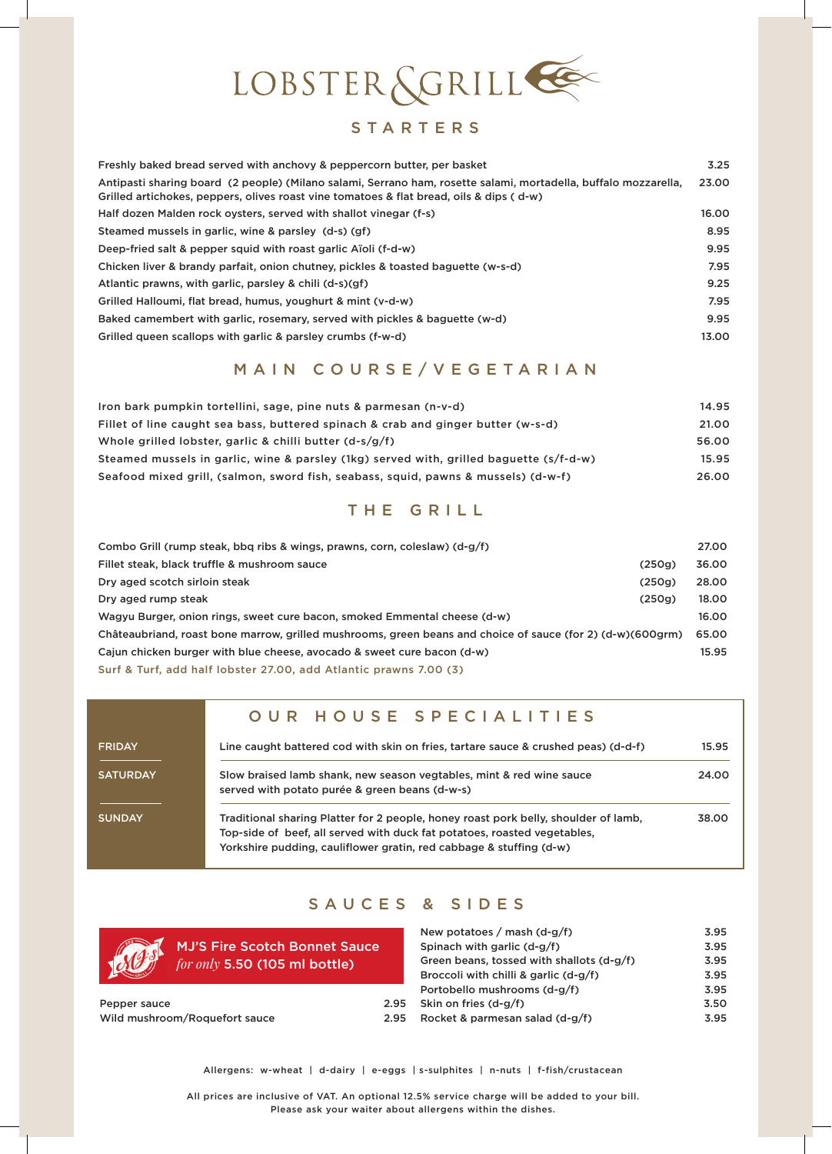

### STARTERS

| Freshly baked bread served with anchovy & peppercorn butter, per basket                                                                                                                                    | 3.25  |
|------------------------------------------------------------------------------------------------------------------------------------------------------------------------------------------------------------|-------|
| Antipasti sharing board (2 people) (Milano salami, Serrano ham, rosette salami, mortadella, buffalo mozzarella,<br>Grilled artichokes, peppers, olives roast vine tomatoes & flat bread, oils & dips (d-w) | 23.00 |
| Half dozen Malden rock oysters, served with shallot vinegar (f-s)                                                                                                                                          | 16.00 |
| Steamed mussels in garlic, wine & parsley (d-s) (gf)                                                                                                                                                       | 8.95  |
| Deep-fried salt & pepper squid with roast garlic Aïoli (f-d-w)                                                                                                                                             | 9.95  |
| Chicken liver & brandy parfait, onion chutney, pickles & toasted baguette (w-s-d)                                                                                                                          | 7.95  |
| Atlantic prawns, with garlic, parsley & chili (d-s)(gf)                                                                                                                                                    | 9.25  |
| Grilled Halloumi, flat bread, humus, youghurt & mint (y-d-w)                                                                                                                                               | 7.95  |
| Baked camembert with garlic, rosemary, served with pickles & baguette (w-d)                                                                                                                                | 9.95  |
| Grilled queen scallops with garlic & parsley crumbs (f-w-d)                                                                                                                                                | 13.00 |

## MAIN COURSE/VEGETARIAN

| Iron bark pumpkin tortellini, sage, pine nuts & parmesan (n-v-d)                        | 14.95 |
|-----------------------------------------------------------------------------------------|-------|
| Fillet of line caught sea bass, buttered spinach & crab and ginger butter (w-s-d)       | 21.00 |
| Whole grilled lobster, garlic & chilli butter (d-s/g/f)                                 | 56.00 |
| Steamed mussels in garlic, wine & parsley (1kg) served with, grilled baguette (s/f-d-w) | 15.95 |
| Seafood mixed grill, (salmon, sword fish, seabass, squid, pawns & mussels) (d-w-f)      | 26.00 |

### THE GRILL

| Combo Grill (rump steak, bbg ribs & wings, prawns, corn, coleslaw) (d-g/f)                                 | 27.00 |  |  |  |  |
|------------------------------------------------------------------------------------------------------------|-------|--|--|--|--|
| Fillet steak, black truffle & mushroom sauce<br>(250q)                                                     | 36.00 |  |  |  |  |
| Dry aged scotch sirloin steak<br>(250g)                                                                    | 28.00 |  |  |  |  |
| Dry aged rump steak<br>(250g)                                                                              | 18.00 |  |  |  |  |
| Wagyu Burger, onion rings, sweet cure bacon, smoked Emmental cheese (d-w)                                  |       |  |  |  |  |
| Châteaubriand, roast bone marrow, grilled mushrooms, green beans and choice of sauce (for 2) (d-w)(600grm) |       |  |  |  |  |
| Cajun chicken burger with blue cheese, avocado & sweet cure bacon (d-w)                                    |       |  |  |  |  |
| Surf & Turf, add half lobster 27.00, add Atlantic prawns 7.00 (3)                                          |       |  |  |  |  |

#### OUR HOUSE SPECIALITIES

| <b>FRIDAY</b>   | Line caught battered cod with skin on fries, tartare sauce & crushed peas) (d-d-f)                                                                                                                                                     | 15.95 |
|-----------------|----------------------------------------------------------------------------------------------------------------------------------------------------------------------------------------------------------------------------------------|-------|
| <b>SATURDAY</b> | Slow braised lamb shank, new season vegtables, mint & red wine sauce<br>served with potato purée & green beans (d-w-s)                                                                                                                 | 24.00 |
| <b>SUNDAY</b>   | Traditional sharing Platter for 2 people, honey roast pork belly, shoulder of lamb,<br>Top-side of beef, all served with duck fat potatoes, roasted vegetables,<br>Yorkshire pudding, cauliflower gratin, red cabbage & stuffing (d-w) | 38.00 |

#### SAUCES & SIDES



MJ'S Fire Scotch Bonnet Sauce *for only* 5.50 (105 ml bottle)

| Pepper sauce                  | 2.95 |
|-------------------------------|------|
| Wild mushroom/Roquefort sauce | 2.95 |

| New potatoes / mash $(d-g/f)$             | 3.95 |
|-------------------------------------------|------|
| Spinach with garlic (d-g/f)               | 3.95 |
| Green beans, tossed with shallots (d-g/f) | 3.95 |
| Broccoli with chilli & garlic (d-g/f)     | 3.95 |
| Portobello mushrooms (d-g/f)              | 3.95 |
| Skin on fries (d-g/f)                     | 3.50 |
| Rocket & parmesan salad (d-g/f)           | 3.95 |

Allergens: w-wheat | d-dairy | e-eggs | s-sulphites | n-nuts | f-fish/crustacean

All prices are inclusive of VAT. An optional 12.5% service charge will be added to your bill. Please ask your waiter about allergens within the dishes.